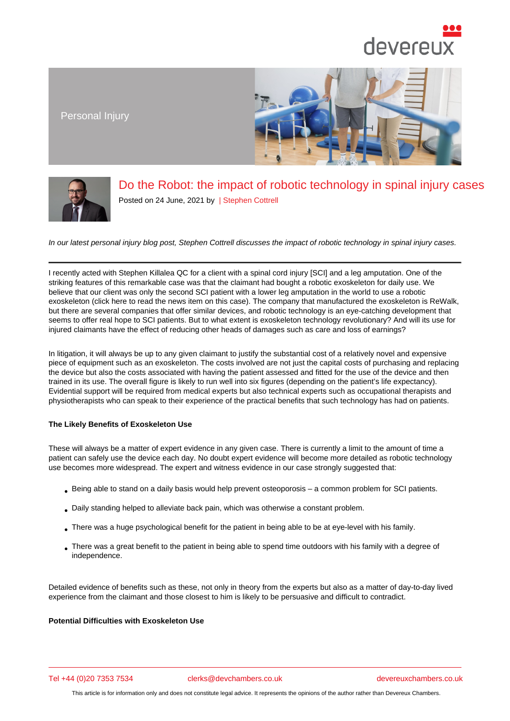## Do the Robot: the impact of robotic technology in spinal injury cases

Posted on 24 June, 2021 by | Stephen Cottrell

In our latest personal injury blog post, Stephen Cot[trell discusses th](/barristers/profile/stephen-cottrell)e impact of robotic technology in spinal injury cases.

I recently acted with Stephen Killalea QC for a client with a spinal cord injury [SCI] and a leg amputation. One of the striking features of this remarkable ca[se was that the c](https://www.devereuxchambers.co.uk/barristers/profile/stephen-cottrell)laimant had bought a robotic exoskeleton for daily use. We believe that our client was only the second SCI patient with a lower leg amputation in the world to use a robotic exoskeleton (click here to read the news item on this case). The company that manufactured the exoskeleton is ReWalk, but there are severa[l companies that offe](https://www.devereuxchambers.co.uk/barristers/profile/stephen-killalea)r similar devices, and robotic technology is an eye-catching development that seems to offer real hope to SCI patients. But to what extent is exoskeleton technology revolutionary? And will its use for injured claimants have the effect of reducing other heads of damages such as care and loss of earnings?

In litigation, it will always be up to any given claimant to justify the substantial cost of a relatively novel and expensive piece of equipment such as an exoskeleton. The costs involved are not just the capital costs of purchasing and replacing the device but also the costs associated with having the patient assessed and fitted for the use of the device and then trained in its use. The overall figure is likely to run well into six figures (depending on the patient's life expectancy). Evidential support will be required from medical experts but also technical experts such as occupational therapists and physiotherapists who can speak to their experience of the practical benefits that such technology has had on patients.

The Likely Benefits of Exoskeleton Use

These will always be a matter of expert evidence in any given case. There is currently a limit to the amount of time a patient can safely use the device each day. No doubt expert evidence will become more detailed as robotic technology use becomes more widespread. The expert and witness evidence in our case strongly suggested that:

- Being able to stand on a daily basis would help prevent osteoporosis a common problem for SCI patients.
- Daily standing helped to alleviate back pain, which was otherwise a constant problem.
- There was a huge psychological benefit for the patient in being able to be at eye-level with his family.
- There was a great benefit to the patient in being able to spend time outdoors with his family with a degree of independence.

Detailed evidence of benefits such as these, not only in theory from the experts but also as a matter of day-to-day lived experience from the claimant and those closest to him is likely to be persuasive and difficult to contradict.

Potential Difficulties with Exoskeleton Use

Tel +44 (0)20 7353 7534 clerks@devchambers.co.uk devereuxchambers.co.uk

This article is for information only and does not constitute legal advice. It represents the opinions of the author rather than Devereux Chambers.